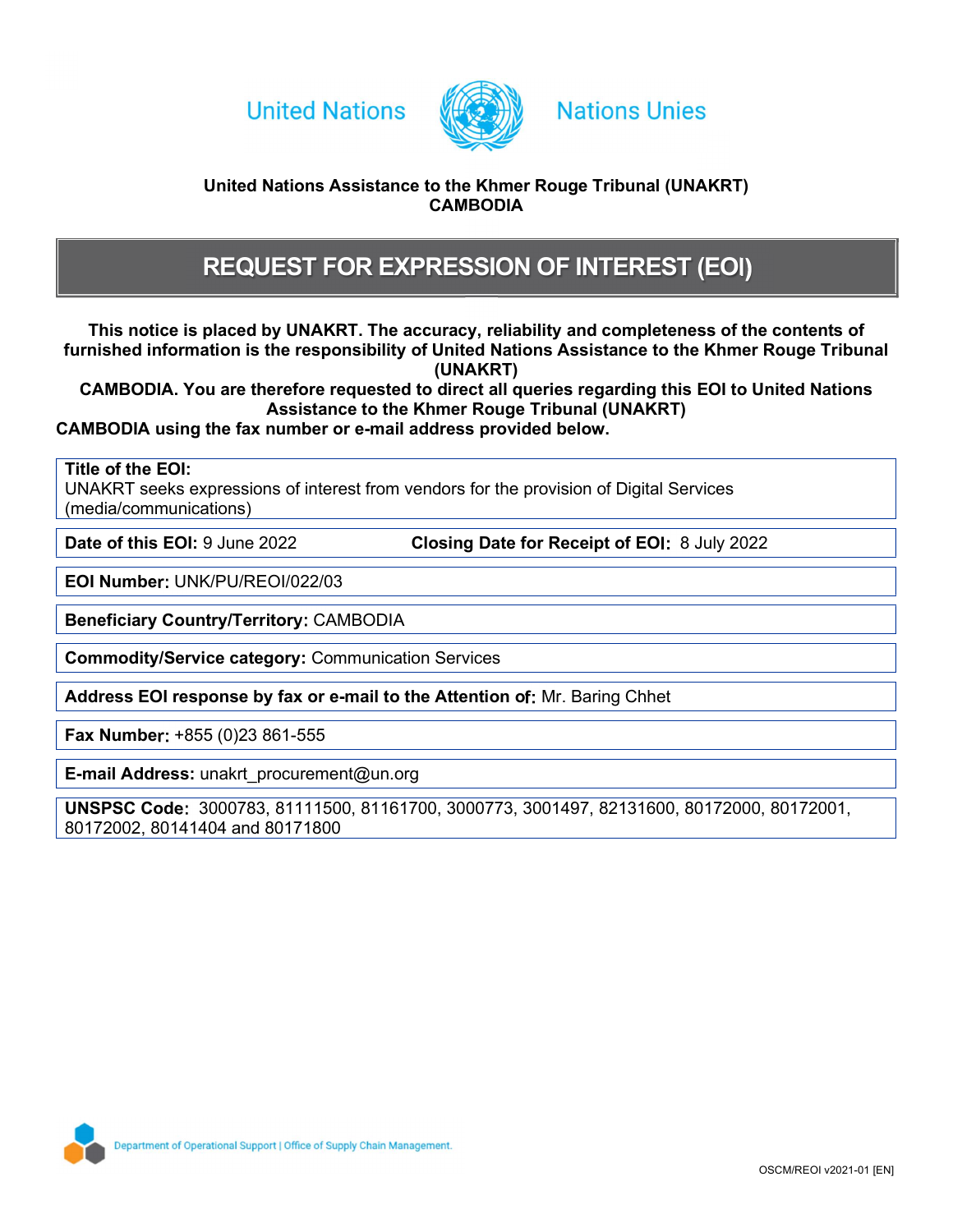



## **Nations Unies**

## United Nations Assistance to the Khmer Rouge Tribunal (UNAKRT) **CAMBODIA**

# REQUEST FOR EXPRESSION OF INTEREST (EOI)

This notice is placed by UNAKRT. The accuracy, reliability and completeness of the contents of furnished information is the responsibility of United Nations Assistance to the Khmer Rouge Tribunal (UNAKRT)

CAMBODIA. You are therefore requested to direct all queries regarding this EOI to United Nations Assistance to the Khmer Rouge Tribunal (UNAKRT)

CAMBODIA using the fax number or e-mail address provided below.

Title of the EOI:

UNAKRT seeks expressions of interest from vendors for the provision of Digital Services (media/communications)

Date of this EOI: 9 June 2022 Closing Date for Receipt of EOI: 8 July 2022

EOI Number: UNK/PU/REOI/022/03

Beneficiary Country/Territory: CAMBODIA

Commodity/Service category: Communication Services<br>
Address EOI response by fax or e-mail to the Attention of: Mr. Baring Chhet

Fax Number: +855 (0)23 861-555

E-mail Address: unakrt\_procurement@un.org

UNSPSC Code: 3000783, 81111500, 81161700, 3000773, 3001497, 82131600, 80172000, 80172001, 80172002, 80141404 and 80171800

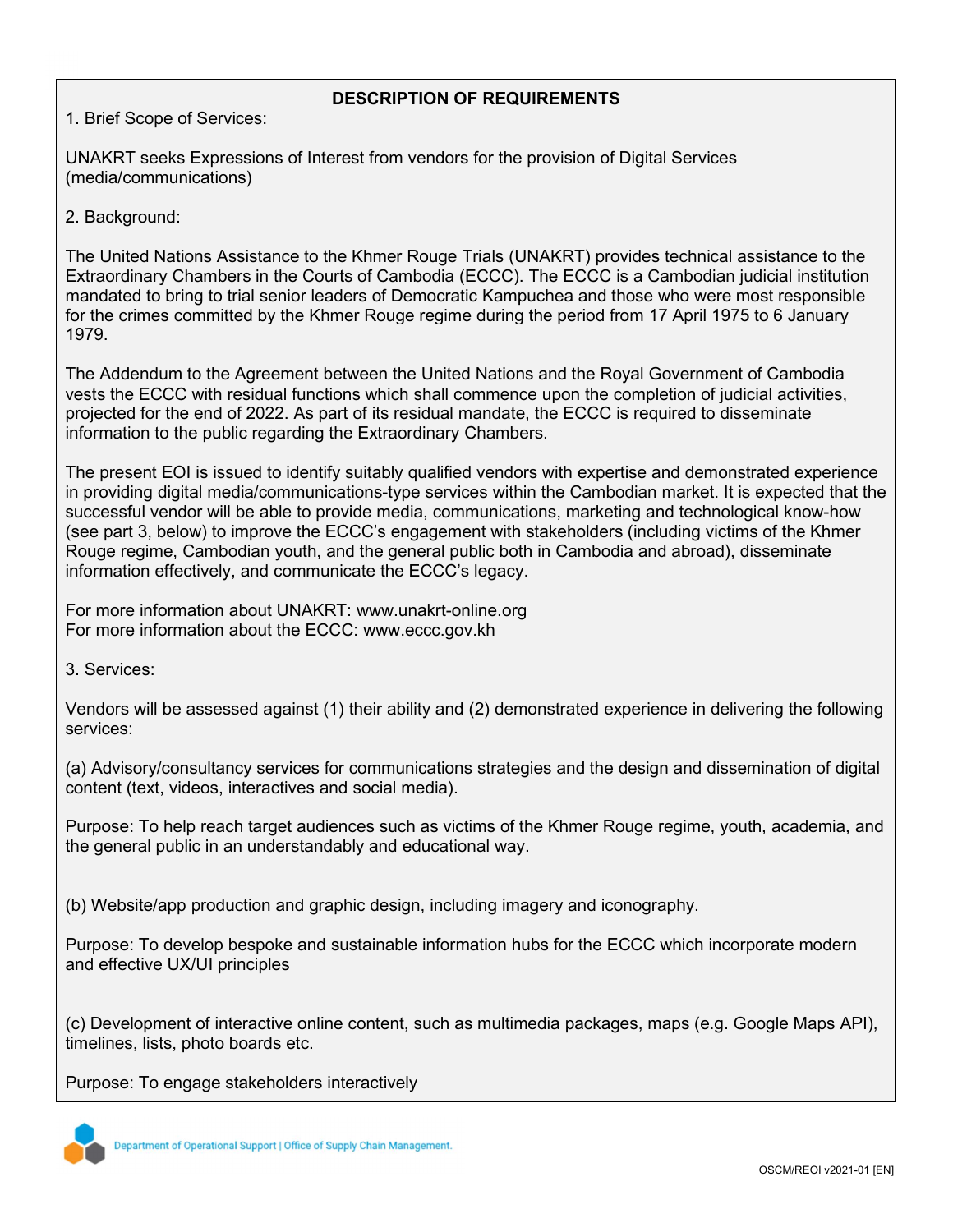## DESCRIPTION OF REQUIREMENTS

1. Brief Scope of Services:

UNAKRT seeks Expressions of Interest from vendors for the provision of Digital Services (media/communications)

2. Background:

The United Nations Assistance to the Khmer Rouge Trials (UNAKRT) provides technical assistance to the Extraordinary Chambers in the Courts of Cambodia (ECCC). The ECCC is a Cambodian judicial institution mandated to bring to trial senior leaders of Democratic Kampuchea and those who were most responsible for the crimes committed by the Khmer Rouge regime during the period from 17 April 1975 to 6 January 1979.

The Addendum to the Agreement between the United Nations and the Royal Government of Cambodia vests the ECCC with residual functions which shall commence upon the completion of judicial activities, projected for the end of 2022. As part of its residual mandate, the ECCC is required to disseminate information to the public regarding the Extraordinary Chambers.

The present EOI is issued to identify suitably qualified vendors with expertise and demonstrated experience in providing digital media/communications-type services within the Cambodian market. It is expected that the successful vendor will be able to provide media, communications, marketing and technological know-how (see part 3, below) to improve the ECCC's engagement with stakeholders (including victims of the Khmer Rouge regime, Cambodian youth, and the general public both in Cambodia and abroad), disseminate information effectively, and communicate the ECCC's legacy.

For more information about UNAKRT: www.unakrt-online.org For more information about the ECCC: www.eccc.gov.kh

3. Services:

Vendors will be assessed against (1) their ability and (2) demonstrated experience in delivering the following services:

(a) Advisory/consultancy services for communications strategies and the design and dissemination of digital content (text, videos, interactives and social media).

Purpose: To help reach target audiences such as victims of the Khmer Rouge regime, youth, academia, and the general public in an understandably and educational way.

(b) Website/app production and graphic design, including imagery and iconography.

Purpose: To develop bespoke and sustainable information hubs for the ECCC which incorporate modern and effective UX/UI principles

(c) Development of interactive online content, such as multimedia packages, maps (e.g. Google Maps API), timelines, lists, photo boards etc.

Purpose: To engage stakeholders interactively

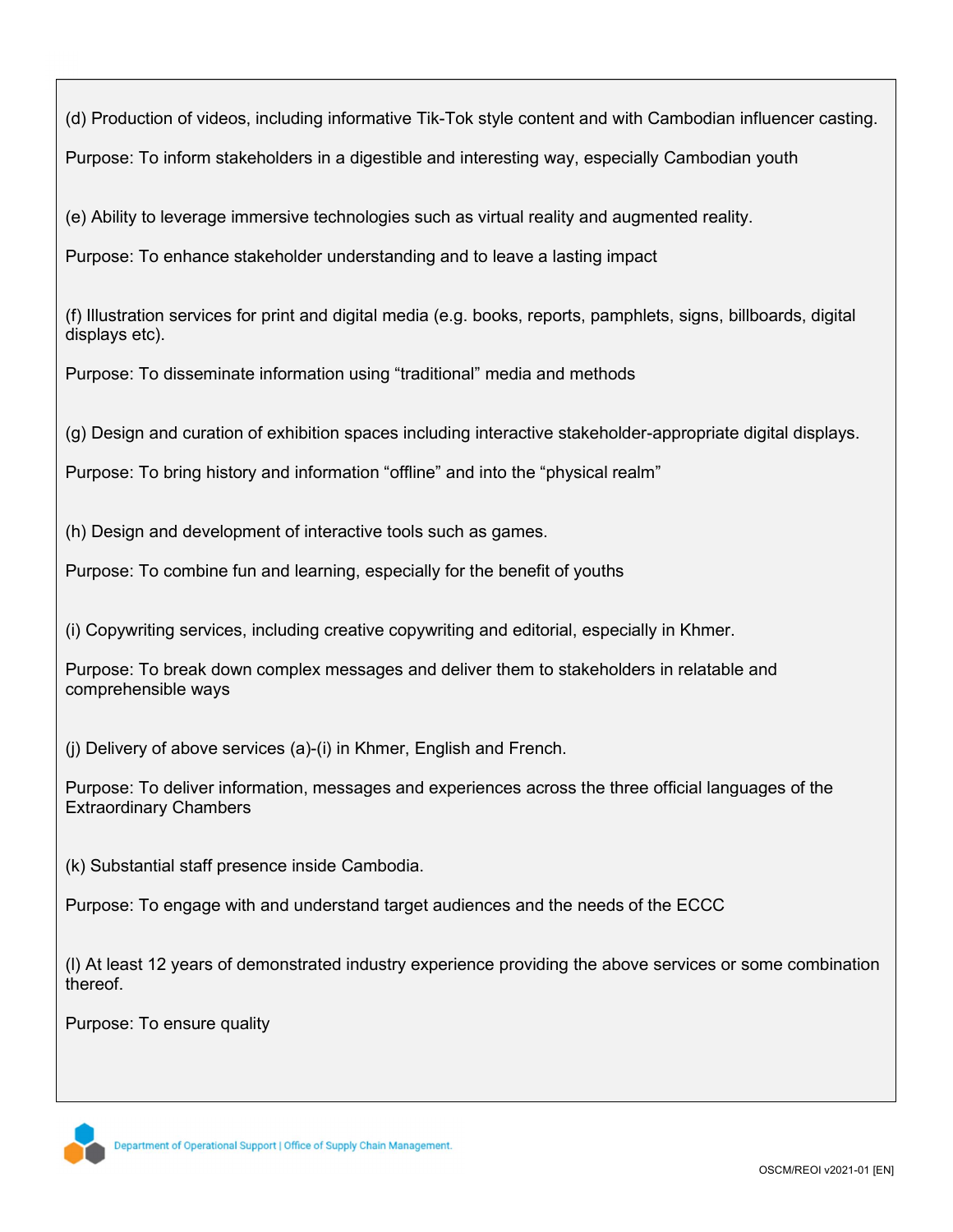(d) Production of videos, including informative Tik-Tok style content and with Cambodian influencer casting.

Purpose: To inform stakeholders in a digestible and interesting way, especially Cambodian youth

(e) Ability to leverage immersive technologies such as virtual reality and augmented reality.

Purpose: To enhance stakeholder understanding and to leave a lasting impact

(f) Illustration services for print and digital media (e.g. books, reports, pamphlets, signs, billboards, digital displays etc).

Purpose: To disseminate information using "traditional" media and methods

(g) Design and curation of exhibition spaces including interactive stakeholder-appropriate digital displays.

Purpose: To bring history and information "offline" and into the "physical realm"

(h) Design and development of interactive tools such as games.

Purpose: To combine fun and learning, especially for the benefit of youths

(i) Copywriting services, including creative copywriting and editorial, especially in Khmer.

Purpose: To break down complex messages and deliver them to stakeholders in relatable and comprehensible ways

(j) Delivery of above services (a)-(i) in Khmer, English and French.

Purpose: To deliver information, messages and experiences across the three official languages of the Extraordinary Chambers

(k) Substantial staff presence inside Cambodia.

Purpose: To engage with and understand target audiences and the needs of the ECCC

(l) At least 12 years of demonstrated industry experience providing the above services or some combination thereof.

Purpose: To ensure quality

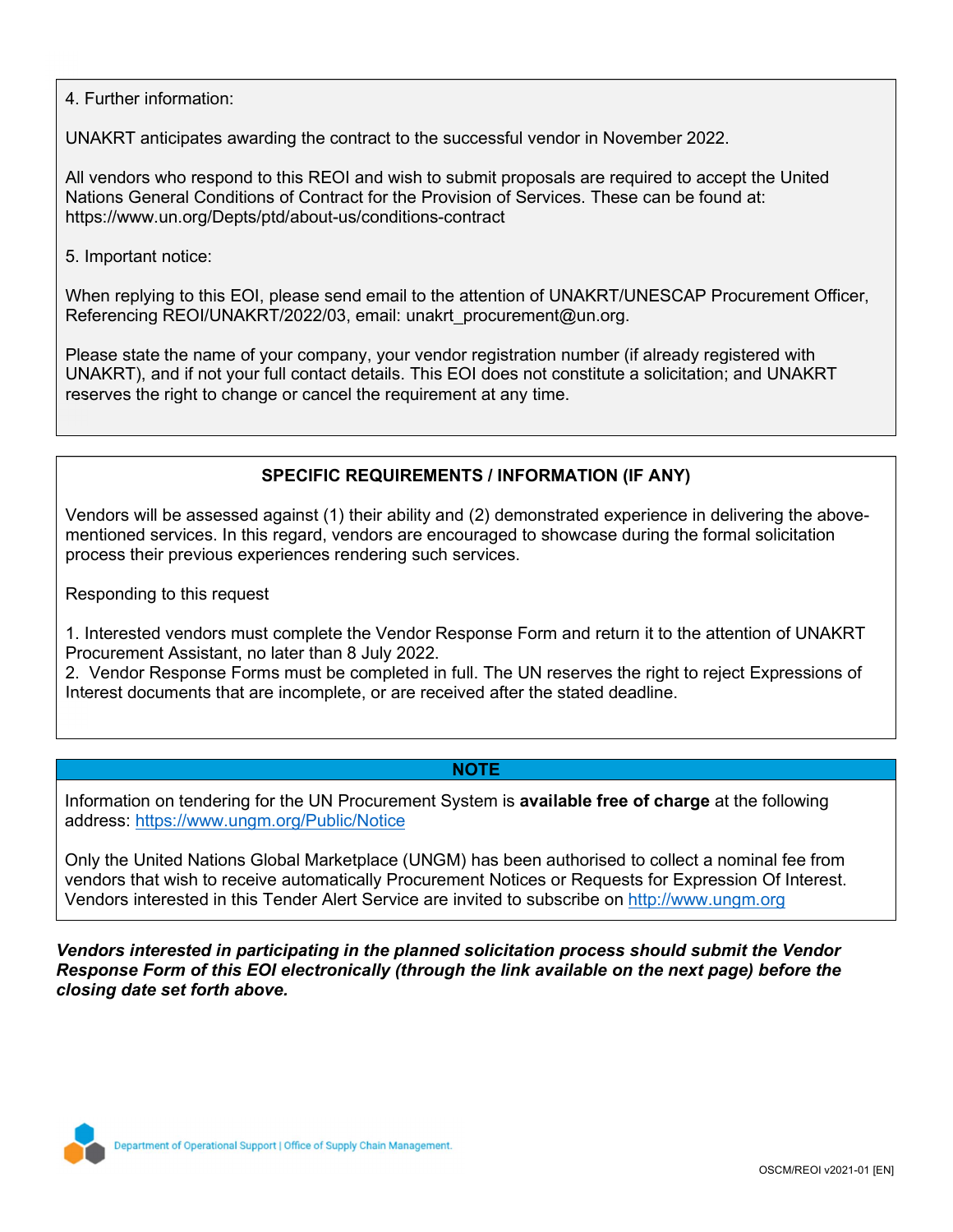4. Further information:

UNAKRT anticipates awarding the contract to the successful vendor in November 2022.

All vendors who respond to this REOI and wish to submit proposals are required to accept the United Nations General Conditions of Contract for the Provision of Services. These can be found at: https://www.un.org/Depts/ptd/about-us/conditions-contract

5. Important notice:

When replying to this EOI, please send email to the attention of UNAKRT/UNESCAP Procurement Officer, Referencing REOI/UNAKRT/2022/03, email: unakrt\_procurement@un.org.

Please state the name of your company, your vendor registration number (if already registered with UNAKRT), and if not your full contact details. This EOI does not constitute a solicitation; and UNAKRT reserves the right to change or cancel the requirement at any time.

## SPECIFIC REQUIREMENTS / INFORMATION (IF ANY)

Vendors will be assessed against (1) their ability and (2) demonstrated experience in delivering the abovementioned services. In this regard, vendors are encouraged to showcase during the formal solicitation process their previous experiences rendering such services.

Responding to this request

1. Interested vendors must complete the Vendor Response Form and return it to the attention of UNAKRT Procurement Assistant, no later than 8 July 2022.

2. Vendor Response Forms must be completed in full. The UN reserves the right to reject Expressions of Interest documents that are incomplete, or are received after the stated deadline.

### NOTE

Information on tendering for the UN Procurement System is available free of charge at the following address: https://www.ungm.org/Public/Notice

Only the United Nations Global Marketplace (UNGM) has been authorised to collect a nominal fee from vendors that wish to receive automatically Procurement Notices or Requests for Expression Of Interest. Vendors interested in this Tender Alert Service are invited to subscribe on http://www.ungm.org

Vendors interested in participating in the planned solicitation process should submit the Vendor Response Form of this EOI electronically (through the link available on the next page) before the closing date set forth above.

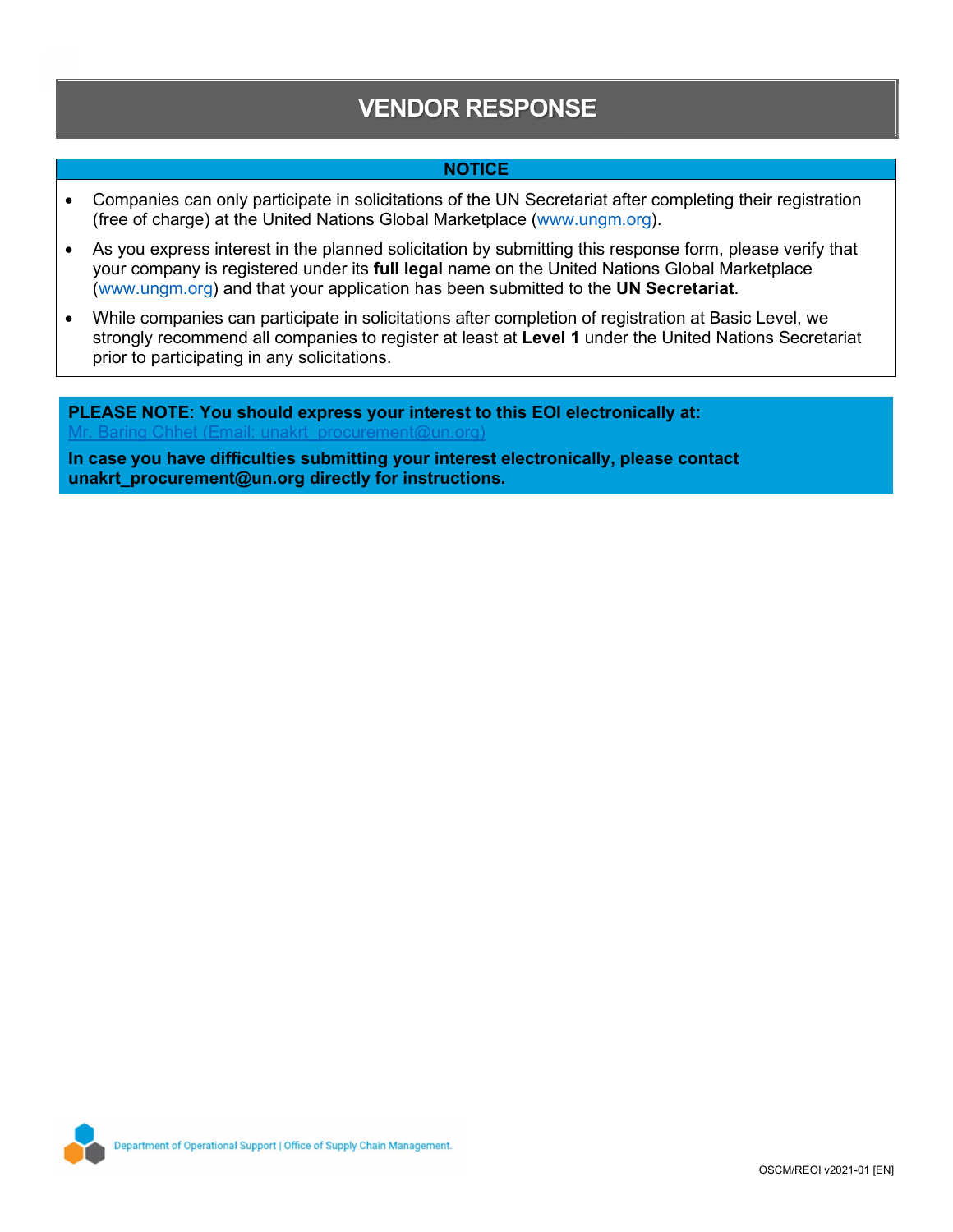# VENDOR RESPONSE

### **NOTICE**

- Companies can only participate in solicitations of the UN Secretariat after completing their registration (free of charge) at the United Nations Global Marketplace (www.ungm.org).
- As you express interest in the planned solicitation by submitting this response form, please verify that your company is registered under its full legal name on the United Nations Global Marketplace (www.ungm.org) and that your application has been submitted to the UN Secretariat.
- While companies can participate in solicitations after completion of registration at Basic Level, we strongly recommend all companies to register at least at Level 1 under the United Nations Secretariat prior to participating in any solicitations.

PLEASE NOTE: You should express your interest to this EOI electronically at:  $\alpha$  Chhet (Email: unakrt\_procurement@un.org)

In case you have difficulties submitting your interest electronically, please contact unakrt\_procurement@un.org directly for instructions.

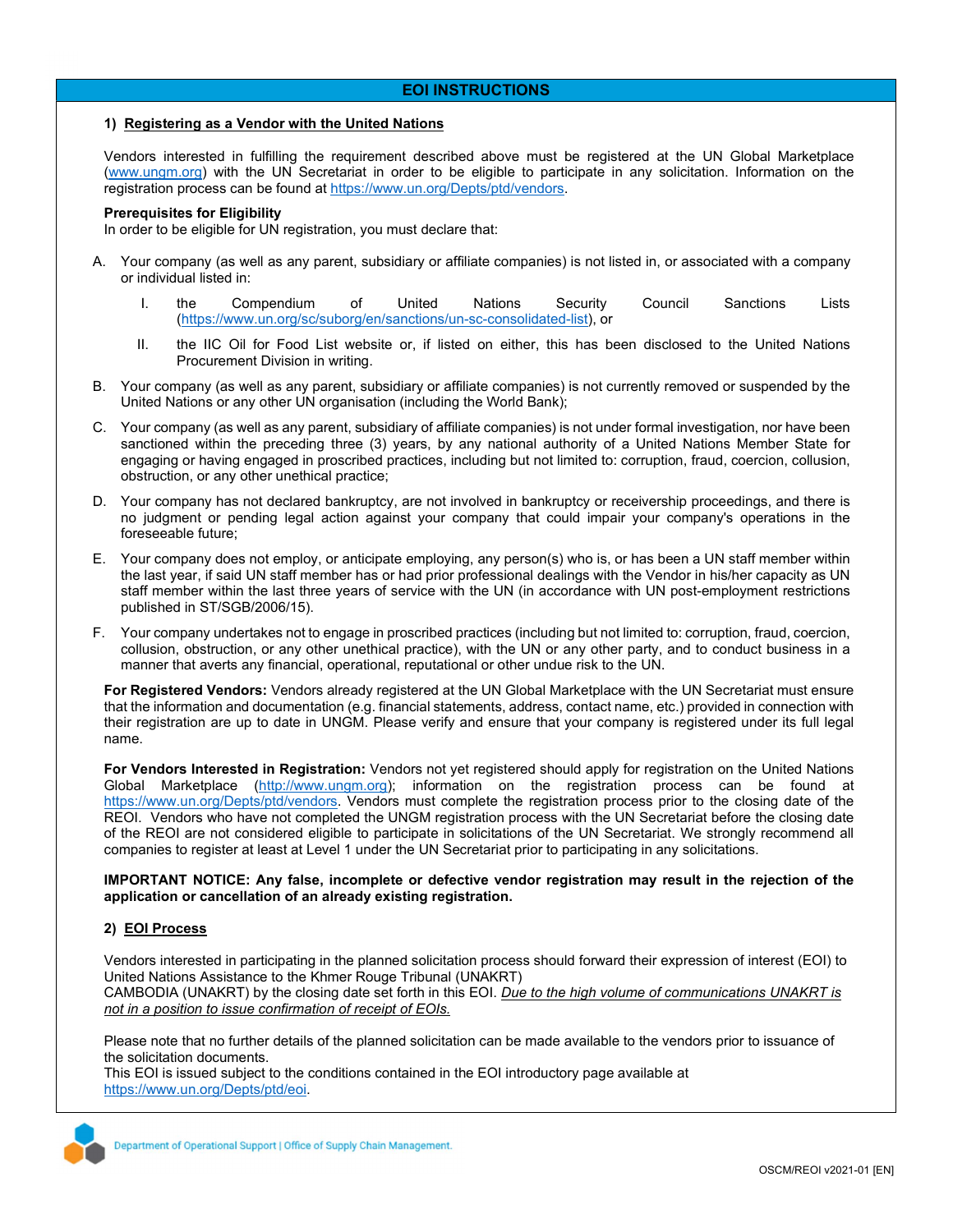### EOI INSTRUCTIONS

### 1) Registering as a Vendor with the United Nations

Vendors interested in fulfilling the requirement described above must be registered at the UN Global Marketplace (www.ungm.org) with the UN Secretariat in order to be eligible to participate in any solicitation. Information on the registration process can be found at https://www.un.org/Depts/ptd/vendors.

#### Prerequisites for Eligibility

In order to be eligible for UN registration, you must declare that:

- A. Your company (as well as any parent, subsidiary or affiliate companies) is not listed in, or associated with a company or individual listed in:
	- I. the Compendium of United Nations Security Council Sanctions Lists (https://www.un.org/sc/suborg/en/sanctions/un-sc-consolidated-list), or
	- II. the IIC Oil for Food List website or, if listed on either, this has been disclosed to the United Nations Procurement Division in writing.
- B. Your company (as well as any parent, subsidiary or affiliate companies) is not currently removed or suspended by the United Nations or any other UN organisation (including the World Bank);
- C. Your company (as well as any parent, subsidiary of affiliate companies) is not under formal investigation, nor have been sanctioned within the preceding three (3) years, by any national authority of a United Nations Member State for engaging or having engaged in proscribed practices, including but not limited to: corruption, fraud, coercion, collusion, obstruction, or any other unethical practice;
- D. Your company has not declared bankruptcy, are not involved in bankruptcy or receivership proceedings, and there is no judgment or pending legal action against your company that could impair your company's operations in the foreseeable future;
- E. Your company does not employ, or anticipate employing, any person(s) who is, or has been a UN staff member within the last year, if said UN staff member has or had prior professional dealings with the Vendor in his/her capacity as UN staff member within the last three years of service with the UN (in accordance with UN post-employment restrictions published in ST/SGB/2006/15).
- F. Your company undertakes not to engage in proscribed practices (including but not limited to: corruption, fraud, coercion, collusion, obstruction, or any other unethical practice), with the UN or any other party, and to conduct business in a manner that averts any financial, operational, reputational or other undue risk to the UN.

For Registered Vendors: Vendors already registered at the UN Global Marketplace with the UN Secretariat must ensure that the information and documentation (e.g. financial statements, address, contact name, etc.) provided in connection with their registration are up to date in UNGM. Please verify and ensure that your company is registered under its full legal name.

For Vendors Interested in Registration: Vendors not yet registered should apply for registration on the United Nations Global Marketplace (http://www.ungm.org); information on the registration process can be found at https://www.un.org/Depts/ptd/vendors. Vendors must complete the registration process prior to the closing date of the REOI. Vendors who have not completed the UNGM registration process with the UN Secretariat before the closing date of the REOI are not considered eligible to participate in solicitations of the UN Secretariat. We strongly recommend all companies to register at least at Level 1 under the UN Secretariat prior to participating in any solicitations.

IMPORTANT NOTICE: Any false, incomplete or defective vendor registration may result in the rejection of the application or cancellation of an already existing registration.

### 2) EOI Process

Vendors interested in participating in the planned solicitation process should forward their expression of interest (EOI) to United Nations Assistance to the Khmer Rouge Tribunal (UNAKRT) CAMBODIA (UNAKRT) by the closing date set forth in this EOI. Due to the high volume of communications UNAKRT is not in a position to issue confirmation of receipt of EOIs.

Please note that no further details of the planned solicitation can be made available to the vendors prior to issuance of the solicitation documents.

This EOI is issued subject to the conditions contained in the EOI introductory page available at https://www.un.org/Depts/ptd/eoi.